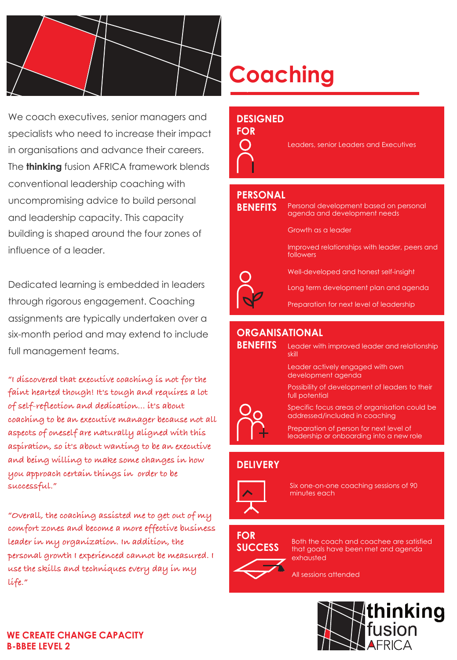

We coach executives, senior managers and specialists who need to increase their impact in organisations and advance their careers. The **thinking** fusion AFRICA framework blends conventional leadership coaching with uncompromising advice to build personal and leadership capacity. This capacity building is shaped around the four zones of influence of a leader.

Dedicated learning is embedded in leaders through rigorous engagement. Coaching assignments are typically undertaken over a six-month period and may extend to include full management teams.

**"I discovered that executive coaching is not for the faint hearted though! It's tough and requires a lot of self-reflection and dedication… it's about coaching to be an executive manager because not all aspects of oneself are naturally aligned with this aspiration, so it's about wanting to be an executive and being willing to make some changes in how you approach certain things in order to be successful."**

**"Overall, the coaching assisted me to get out of my comfort zones and become a more effective business leader in my organization. In addition, the personal growth I experienced cannot be measured. I use the skills and techniques every day in my life."** 

# **Coaching**

### **DESIGNED**

#### **FOR**

Leaders, senior Leaders and Executives

### **PERSONAL**

**BENEFITS**

Personal development based on personal agenda and development needs

Growth as a leader

Improved relationships with leader, peers and followers

Well-developed and honest self-insight

Long term development plan and agenda

Preparation for next level of leadership

## **ORGANISATIONAL**

**BENEFITS**

Leader with improved leader and relationship skill

Leader actively engaged with own development agenda

Possibility of development of leaders to their full potential



Specific focus areas of organisation could be addressed/included in coaching

Preparation of person for next level of leadership or onboarding into a new role

# **DELIVERY**



Six one-on-one coaching sessions of 90 minutes each

# **FOR SUCCESS**

Both the coach and coachee are satisfied that goals have been met and agenda exhausted

All sessions attended



#### **WE CREATE CHANGE CAPACITY B-BBEE LEVEL 2**